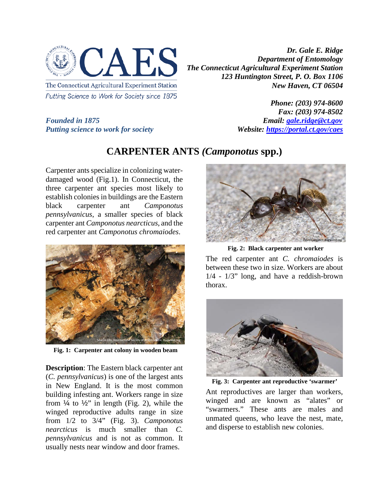

Putting Science to Work for Society since 1875

*Dr. Gale E. Ridge Department of Entomology The Connecticut Agricultural Experiment Station 123 Huntington Street, P. O. Box 1106 New Haven, CT 06504*

*Putting science to work for society* 

*Phone: (203) 974-8600 Fax: (203) 974-8502 Founded in 1875*<br>*Putting science to work for society* **Email:** *Website: https://portal.ct.gov/caes* 

## **CARPENTER ANTS** *(Camponotus* **spp.)**

Carpenter ants specialize in colonizing waterdamaged wood (Fig.1). In Connecticut, the three carpenter ant species most likely to establish colonies in buildings are the Eastern black carpenter ant *Camponotus pennsylvanicus*, a smaller species of black carpenter ant *Camponotus nearcticus*, and the red carpenter ant *Camponotus chromaiodes*.



**Fig. 1: Carpenter ant colony in wooden beam**

**Description**: The Eastern black carpenter ant (*C. pennsylvanicus*) is one of the largest ants in New England. It is the most common building infesting ant. Workers range in size from  $\frac{1}{4}$  to  $\frac{1}{2}$ " in length (Fig. 2), while the winged reproductive adults range in size from 1/2 to 3/4" (Fig. 3). *Camponotus nearcticus* is much smaller than *C. pennsylvanicus* and is not as common. It usually nests near window and door frames.



**Fig. 2: Black carpenter ant worker**

The red carpenter ant *C. chromaiodes* is between these two in size. Workers are about 1/4 - 1/3" long, and have a reddish-brown thorax.



**Fig. 3: Carpenter ant reproductive 'swarmer'**

Ant reproductives are larger than workers, winged and are known as "alates" or "swarmers." These ants are males and unmated queens, who leave the nest, mate, and disperse to establish new colonies.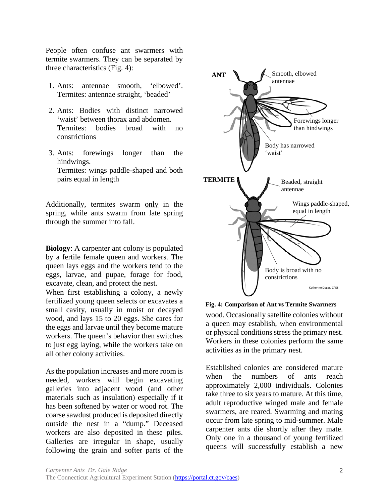People often confuse ant swarmers with termite swarmers. They can be separated by three characteristics (Fig. 4):

- 1. Ants: antennae smooth, 'elbowed'. Termites: antennae straight, 'beaded'
- 2. Ants: Bodies with distinct narrowed 'waist' between thorax and abdomen. Termites: bodies broad with no constrictions
- 3. Ants: forewings longer than the hindwings. Termites: wings paddle-shaped and both pairs equal in length

Additionally, termites swarm only in the spring, while ants swarm from late spring through the summer into fall.

**Biology**: A carpenter ant colony is populated by a fertile female queen and workers. The queen lays eggs and the workers tend to the eggs, larvae, and pupae, forage for food, excavate, clean, and protect the nest.

When first establishing a colony, a newly fertilized young queen selects or excavates a small cavity, usually in moist or decayed wood, and lays 15 to 20 eggs. She cares for the eggs and larvae until they become mature workers. The queen's behavior then switches to just egg laying, while the workers take on all other colony activities.

As the population increases and more room is needed, workers will begin excavating galleries into adjacent wood (and other materials such as insulation) especially if it has been softened by water or wood rot. The coarse sawdust produced is deposited directly outside the nest in a "dump." Deceased workers are also deposited in these piles. Galleries are irregular in shape, usually following the grain and softer parts of the



**Fig. 4: Comparison of Ant vs Termite Swarmers**

wood. Occasionally satellite colonies without a queen may establish, when environmental or physical conditions stress the primary nest. Workers in these colonies perform the same activities as in the primary nest.

Established colonies are considered mature when the numbers of ants reach approximately 2,000 individuals. Colonies take three to six years to mature. At this time, adult reproductive winged male and female swarmers, are reared. Swarming and mating occur from late spring to mid-summer. Male carpenter ants die shortly after they mate. Only one in a thousand of young fertilized queens will successfully establish a new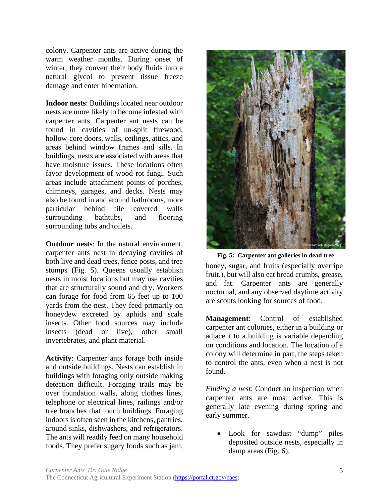colony. Carpenter ants are active during the warm weather months. During onset of winter, they convert their body fluids into a natural glycol to prevent tissue freeze damage and enter hibernation.

**Indoor nests**: Buildings located near outdoor nests are more likely to become infested with carpenter ants. Carpenter ant nests can be found in cavities of un-split firewood, hollow-core doors, walls, ceilings, attics, and areas behind window frames and sills. In buildings, nests are associated with areas that have moisture issues. These locations often favor development of wood rot fungi. Such areas include attachment points of porches, chimneys, garages, and decks. Nests may also be found in and around bathrooms, more particular behind tile covered walls surrounding bathtubs, and flooring surrounding tubs and toilets.

**Outdoor nests**: In the natural environment, carpenter ants nest in decaying cavities of both live and dead trees, fence posts, and tree stumps (Fig. 5). Queens usually establish nests in moist locations but may use cavities that are structurally sound and dry. Workers can forage for food from 65 feet up to 100 yards from the nest. They feed primarily on honeydew excreted by aphids and scale insects. Other food sources may include insects (dead or live), other small invertebrates, and plant material.

**Activity**: Carpenter ants forage both inside and outside buildings. Nests can establish in buildings with foraging only outside making detection difficult. Foraging trails may be over foundation walls, along clothes lines, telephone or electrical lines, railings and/or tree branches that touch buildings. Foraging indoors is often seen in the kitchens, pantries, around sinks, dishwashers, and refrigerators. The ants will readily feed on many household foods. They prefer sugary foods such as jam,



honey, sugar, and fruits (especially overripe fruit.), but will also eat bread crumbs, grease, and fat. Carpenter ants are generally nocturnal, and any observed daytime activity are scouts looking for sources of food. **Fig. 5: Carpenter ant galleries in dead tree**

**Management**: Control of established carpenter ant colonies, either in a building or adjacent to a building is variable depending on conditions and location. The location of a colony will determine in part, the steps taken to control the ants, even when a nest is not found.

*Finding a nest*: Conduct an inspection when carpenter ants are most active. This is generally late evening during spring and early summer.

Look for sawdust "dump" piles deposited outside nests, especially in damp areas (Fig. 6).